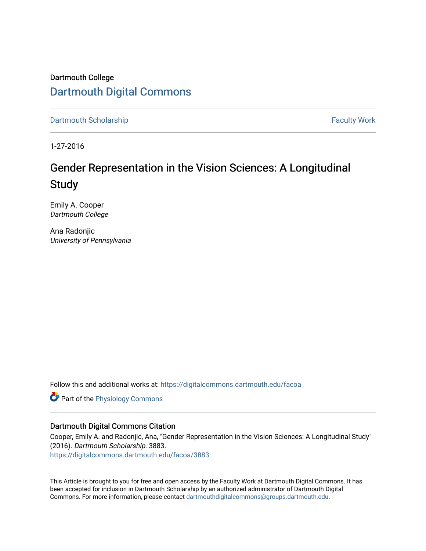## Dartmouth College [Dartmouth Digital Commons](https://digitalcommons.dartmouth.edu/)

[Dartmouth Scholarship](https://digitalcommons.dartmouth.edu/facoa) Faculty Work

1-27-2016

# Gender Representation in the Vision Sciences: A Longitudinal **Study**

Emily A. Cooper Dartmouth College

Ana Radonjic University of Pennsylvania

Follow this and additional works at: [https://digitalcommons.dartmouth.edu/facoa](https://digitalcommons.dartmouth.edu/facoa?utm_source=digitalcommons.dartmouth.edu%2Ffacoa%2F3883&utm_medium=PDF&utm_campaign=PDFCoverPages)

**Part of the [Physiology Commons](http://network.bepress.com/hgg/discipline/69?utm_source=digitalcommons.dartmouth.edu%2Ffacoa%2F3883&utm_medium=PDF&utm_campaign=PDFCoverPages)** 

#### Dartmouth Digital Commons Citation

Cooper, Emily A. and Radonjic, Ana, "Gender Representation in the Vision Sciences: A Longitudinal Study" (2016). Dartmouth Scholarship. 3883.

[https://digitalcommons.dartmouth.edu/facoa/3883](https://digitalcommons.dartmouth.edu/facoa/3883?utm_source=digitalcommons.dartmouth.edu%2Ffacoa%2F3883&utm_medium=PDF&utm_campaign=PDFCoverPages) 

This Article is brought to you for free and open access by the Faculty Work at Dartmouth Digital Commons. It has been accepted for inclusion in Dartmouth Scholarship by an authorized administrator of Dartmouth Digital Commons. For more information, please contact [dartmouthdigitalcommons@groups.dartmouth.edu](mailto:dartmouthdigitalcommons@groups.dartmouth.edu).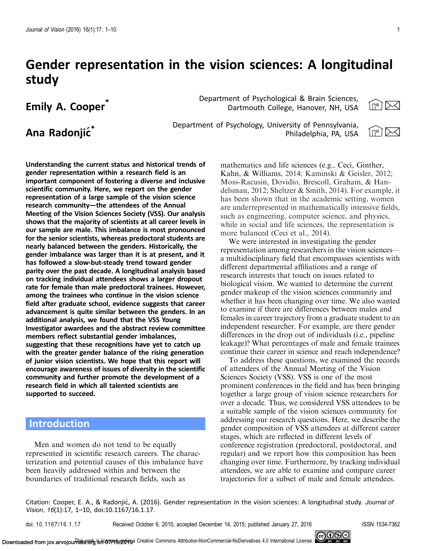## Gender representation in the vision sciences: A longitudinal study

Emily A. Cooper<sup>[\\*](#page-9-0)</sup> **Emily A. Cooper Emily A. Cooper Emily A. Cooper Emily A. Cooper Emily A. Cooper Emily A.** Cooper **Emily A.** Cooper **Emily A.** Cooper **Emily A.** Cooper **Emily A.** Cooper **Emily A.** Cooper **Emil** 

Dartmouth College, Hanover, NH, USA



# Ana Radonjić[\\*](#page-9-0) **18 Department of Psy[c](#page-9-0)hology, University of Pennsylvania,** Ana Radonjić\*

Understanding the current status and historical trends of gender representation within a research field is an important component of fostering a diverse and inclusive scientific community. Here, we report on the gender representation of a large sample of the vision science research community—the attendees of the Annual Meeting of the Vision Sciences Society (VSS). Our analysis shows that the majority of scientists at all career levels in our sample are male. This imbalance is most pronounced for the senior scientists, whereas predoctoral students are nearly balanced between the genders. Historically, the gender imbalance was larger than it is at present, and it has followed a slow-but-steady trend toward gender parity over the past decade. A longitudinal analysis based on tracking individual attendees shows a larger dropout rate for female than male predoctoral trainees. However, among the trainees who continue in the vision science field after graduate school, evidence suggests that career advancement is quite similar between the genders. In an additional analysis, we found that the VSS Young Investigator awardees and the abstract review committee members reflect substantial gender imbalances, suggesting that these recognitions have yet to catch up with the greater gender balance of the rising generation of junior vision scientists. We hope that this report will encourage awareness of issues of diversity in the scientific community and further promote the development of a research field in which all talented scientists are supported to succeed.

## Introduction

Men and women do not tend to be equally represented in scientific research careers. The characterization and potential causes of this imbalance have been heavily addressed within and between the boundaries of traditional research fields, such as

mathematics and life sciences (e.g., Ceci, Ginther, Kahn, & Williams, [2014](#page-9-0); Kaminski & Geisler, [2012;](#page-9-0) Moss-Racusin, Dovidio, Brescoll, Graham, & Handelsman, [2012;](#page-9-0) Sheltzer & Smith, [2014\)](#page-9-0). For example, it has been shown that in the academic setting, women are underrepresented in mathematically intensive fields, such as engineering, computer science, and physics, while in social and life sciences, the representation is more balanced (Ceci et al., [2014\)](#page-9-0).

Philadelphia, PA, USA

We were interested in investigating the gender representation among researchers in the vision sciences a multidisciplinary field that encompasses scientists with different departmental affiliations and a range of research interests that touch on issues related to biological vision. We wanted to determine the current gender makeup of the vision sciences community and whether it has been changing over time. We also wanted to examine if there are differences between males and females in career trajectory from a graduate student to an independent researcher. For example, are there gender differences in the drop out of individuals (i.e., pipeline leakage)? What percentages of male and female trainees continue their career in science and reach independence?

To address these questions, we examined the records of attendees of the Annual Meeting of the Vision Sciences Society (VSS). VSS is one of the most prominent conferences in the field and has been bringing together a large group of vision science researchers for over a decade. Thus, we considered VSS attendees to be a suitable sample of the vision sciences community for addressing our research questions. Here, we describe the gender composition of VSS attendees at different career stages, which are reflected in different levels of conference registration (predoctoral, postdoctoral, and regular) and we report how this composition has been changing over time. Furthermore, by tracking individual attendees, we are able to examine and compare career trajectories for a subset of male and female attendees.

Citation: Cooper, E. A., & Radonjić, A. (2016). Gender representation in the vision sciences: A longitudinal study. Journal of Vision, 16(1):17, 1–10, doi:10.1167/16.1.17.



 $@0@$ Downloaded from jov.arvojourhals/erg is licensed under Sceative Commons Attribution-NonCommercial-NoDerivatives 4.0 International License.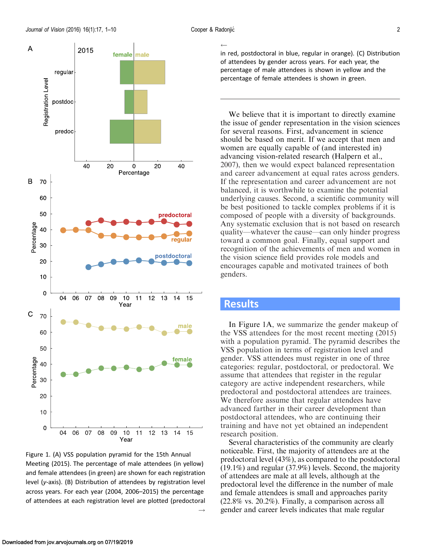$\leftarrow$ 

<span id="page-2-0"></span>

Figure 1. (A) VSS population pyramid for the 15th Annual Meeting (2015). The percentage of male attendees (in yellow) and female attendees (in green) are shown for each registration level (y-axis). (B) Distribution of attendees by registration level across years. For each year (2004, 2006–2015) the percentage of attendees at each registration level are plotted (predoctoral

in red, postdoctoral in blue, regular in orange). (C) Distribution of attendees by gender across years. For each year, the percentage of male attendees is shown in yellow and the percentage of female attendees is shown in green.

We believe that it is important to directly examine the issue of gender representation in the vision sciences for several reasons. First, advancement in science should be based on merit. If we accept that men and women are equally capable of (and interested in) advancing vision-related research (Halpern et al., [2007\)](#page-9-0), then we would expect balanced representation and career advancement at equal rates across genders. If the representation and career advancement are not balanced, it is worthwhile to examine the potential underlying causes. Second, a scientific community will be best positioned to tackle complex problems if it is composed of people with a diversity of backgrounds. Any systematic exclusion that is not based on research quality—whatever the cause—can only hinder progress toward a common goal. Finally, equal support and recognition of the achievements of men and women in the vision science field provides role models and encourages capable and motivated trainees of both genders.

## **Results**

 $\rightarrow$ 

In Figure 1A, we summarize the gender makeup of the VSS attendees for the most recent meeting (2015) with a population pyramid. The pyramid describes the VSS population in terms of registration level and gender. VSS attendees must register in one of three categories: regular, postdoctoral, or predoctoral. We assume that attendees that register in the regular category are active independent researchers, while predoctoral and postdoctoral attendees are trainees. We therefore assume that regular attendees have advanced farther in their career development than postdoctoral attendees, who are continuing their training and have not yet obtained an independent research position.

Several characteristics of the community are clearly noticeable. First, the majority of attendees are at the predoctoral level (43%), as compared to the postdoctoral (19.1%) and regular (37.9%) levels. Second, the majority of attendees are male at all levels, although at the predoctoral level the difference in the number of male and female attendees is small and approaches parity (22.8% vs. 20.2%). Finally, a comparison across all gender and career levels indicates that male regular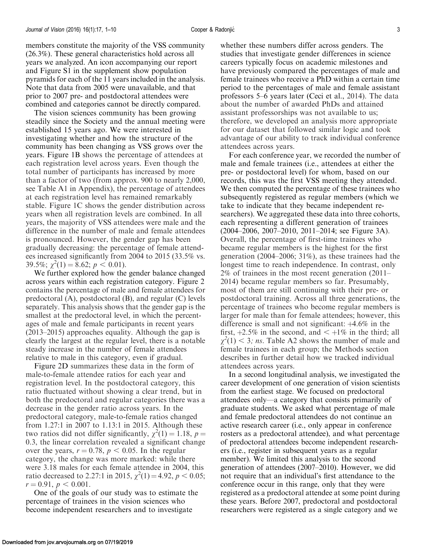members constitute the majority of the VSS community (26.3%). These general characteristics hold across all years we analyzed. An icon accompanying our report and Figure S1 in the supplement show population pyramids for each of the 11 years included in the analysis. Note that data from 2005 were unavailable, and that prior to 2007 pre- and postdoctoral attendees were combined and categories cannot be directly compared.

The vision sciences community has been growing steadily since the Society and the annual meeting were established 15 years ago. We were interested in investigating whether and how the structure of the community has been changing as VSS grows over the years. [Figure 1B](#page-2-0) shows the percentage of attendees at each registration level across years. Even though the total number of participants has increased by more than a factor of two (from approx. 900 to nearly 2,000, see [Table A1](#page-10-0) in Appendix), the percentage of attendees at each registration level has remained remarkably stable. [Figure 1C](#page-2-0) shows the gender distribution across years when all registration levels are combined. In all years, the majority of VSS attendees were male and the difference in the number of male and female attendees is pronounced. However, the gender gap has been gradually decreasing: the percentage of female attendees increased significantly from 2004 to 2015 (33.5% vs. 39.5%;  $\chi^2(1) = 8.62$ ;  $p < 0.01$ ).

We further explored how the gender balance changed across years within each registration category. [Figure 2](#page-4-0) contains the percentage of male and female attendees for predoctoral (A), postdoctoral (B), and regular (C) levels separately. This analysis shows that the gender gap is the smallest at the predoctoral level, in which the percentages of male and female participants in recent years (2013–2015) approaches equality. Although the gap is clearly the largest at the regular level, there is a notable steady increase in the number of female attendees relative to male in this category, even if gradual.

[Figure 2D](#page-4-0) summarizes these data in the form of male-to-female attendee ratios for each year and registration level. In the postdoctoral category, this ratio fluctuated without showing a clear trend, but in both the predoctoral and regular categories there was a decrease in the gender ratio across years. In the predoctoral category, male-to-female ratios changed from 1.27:1 in 2007 to 1.13:1 in 2015. Although these two ratios did not differ significantly,  $\chi^2(1) = 1.18$ ,  $p =$ 0.3, the linear correlation revealed a significant change over the years,  $r = 0.78$ ,  $p < 0.05$ . In the regular category, the change was more marked: while there were 3.18 males for each female attendee in 2004, this ratio decreased to 2.27:1 in 2015,  $\chi^2(1) = 4.92$ ,  $p < 0.05$ ;  $r = 0.91, p < 0.001.$ 

One of the goals of our study was to estimate the percentage of trainees in the vision sciences who become independent researchers and to investigate

whether these numbers differ across genders. The studies that investigate gender differences in science careers typically focus on academic milestones and have previously compared the percentages of male and female trainees who receive a PhD within a certain time period to the percentages of male and female assistant professors 5–6 years later (Ceci et al., [2014\)](#page-9-0). The data about the number of awarded PhDs and attained assistant professorships was not available to us; therefore, we developed an analysis more appropriate for our dataset that followed similar logic and took advantage of our ability to track individual conference attendees across years.

For each conference year, we recorded the number of male and female trainees (i.e., attendees at either the pre- or postdoctoral level) for whom, based on our records, this was the first VSS meeting they attended. We then computed the percentage of these trainees who subsequently registered as regular members (which we take to indicate that they became independent researchers). We aggregated these data into three cohorts, each representing a different generation of trainees (2004–2006, 2007–2010, 2011–2014; see [Figure 3A](#page-5-0)). Overall, the percentage of first-time trainees who became regular members is the highest for the first generation (2004–2006; 31%), as these trainees had the longest time to reach independence. In contrast, only 2% of trainees in the most recent generation (2011– 2014) became regular members so far. Presumably, most of them are still continuing with their pre- or postdoctoral training. Across all three generations, the percentage of trainees who become regular members is larger for male than for female attendees; however, this difference is small and not significant:  $+4.6\%$  in the first,  $+2.5\%$  in the second, and  $\lt +1\%$  in the third; all  $\chi^2(1)$  < 3; ns. [Table A2](#page-10-0) shows the number of male and female trainees in each group; the [Methods](#page-6-0) section describes in further detail how we tracked individual attendees across years.

In a second longitudinal analysis, we investigated the career development of one generation of vision scientists from the earliest stage. We focused on predoctoral attendees only—a category that consists primarily of graduate students. We asked what percentage of male and female predoctoral attendees do not continue an active research career (i.e., only appear in conference rosters as a predoctoral attendee), and what percentage of predoctoral attendees become independent researchers (i.e., register in subsequent years as a regular member). We limited this analysis to the second generation of attendees (2007–2010). However, we did not require that an individual's first attendance to the conference occur in this range, only that they were registered as a predoctoral attendee at some point during these years. Before 2007, predoctoral and postdoctoral researchers were registered as a single category and we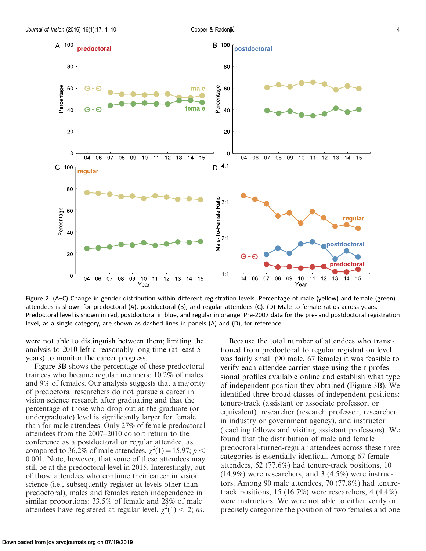<span id="page-4-0"></span>

Figure 2. (A–C) Change in gender distribution within different registration levels. Percentage of male (yellow) and female (green) attendees is shown for predoctoral (A), postdoctoral (B), and regular attendees (C). (D) Male-to-female ratios across years. Predoctoral level is shown in red, postdoctoral in blue, and regular in orange. Pre-2007 data for the pre- and postdoctoral registration level, as a single category, are shown as dashed lines in panels (A) and (D), for reference.

were not able to distinguish between them; limiting the analysis to 2010 left a reasonably long time (at least 5 years) to monitor the career progress.

[Figure 3B](#page-5-0) shows the percentage of these predoctoral trainees who became regular members: 10.2% of males and 9% of females. Our analysis suggests that a majority of predoctoral researchers do not pursue a career in vision science research after graduating and that the percentage of those who drop out at the graduate (or undergraduate) level is significantly larger for female than for male attendees. Only 27% of female predoctoral attendees from the 2007–2010 cohort return to the conference as a postdoctoral or regular attendee, as compared to 36.2% of male attendees,  $\chi^2(1) = 15.97$ ;  $p <$ 0.001. Note, however, that some of these attendees may still be at the predoctoral level in 2015. Interestingly, out of those attendees who continue their career in vision science (i.e., subsequently register at levels other than predoctoral), males and females reach independence in similar proportions: 33.5% of female and 28% of male attendees have registered at regular level,  $\chi^2(1) < 2$ ; ns.

Because the total number of attendees who transitioned from predoctoral to regular registration level was fairly small (90 male, 67 female) it was feasible to verify each attendee carrier stage using their professional profiles available online and establish what type of independent position they obtained ([Figure 3B\)](#page-5-0). We identified three broad classes of independent positions: tenure-track (assistant or associate professor, or equivalent), researcher (research professor, researcher in industry or government agency), and instructor (teaching fellows and visiting assistant professors). We found that the distribution of male and female predoctoral-turned-regular attendees across these three categories is essentially identical. Among 67 female attendees, 52 (77.6%) had tenure-track positions, 10 (14.9%) were researchers, and 3 (4.5%) were instructors. Among 90 male attendees, 70 (77.8%) had tenuretrack positions, 15 (16.7%) were researchers, 4 (4.4%) were instructors. We were not able to either verify or precisely categorize the position of two females and one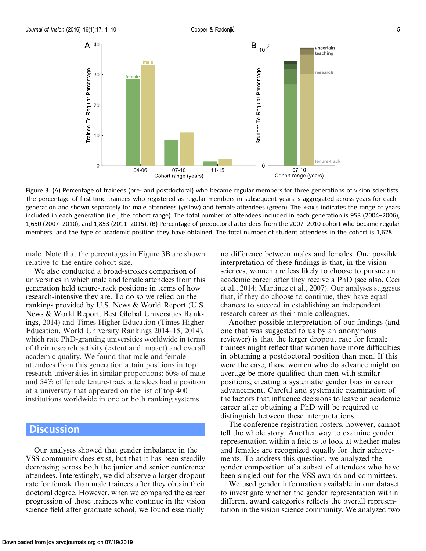<span id="page-5-0"></span>

Figure 3. (A) Percentage of trainees (pre- and postdoctoral) who became regular members for three generations of vision scientists. The percentage of first-time trainees who registered as regular members in subsequent years is aggregated across years for each generation and shown separately for male attendees (yellow) and female attendees (green). The x-axis indicates the range of years included in each generation (i.e., the cohort range). The total number of attendees included in each generation is 953 (2004–2006), 1,650 (2007–2010), and 1,853 (2011–2015). (B) Percentage of predoctoral attendees from the 2007–2010 cohort who became regular members, and the type of academic position they have obtained. The total number of student attendees in the cohort is 1,628.

male. Note that the percentages in Figure 3B are shown relative to the entire cohort size.

We also conducted a broad-strokes comparison of universities in which male and female attendees from this generation held tenure-track positions in terms of how research-intensive they are. To do so we relied on the rankings provided by U.S. News & World Report (U.S. News & World Report, Best Global Universities Rankings, [2014\)](#page-9-0) and Times Higher Education (Times Higher Education, World University Rankings [2014–](#page-9-0)15, 2014), which rate PhD-granting universities worldwide in terms of their research activity (extent and impact) and overall academic quality. We found that male and female attendees from this generation attain positions in top research universities in similar proportions: 60% of male and 54% of female tenure-track attendees had a position at a university that appeared on the list of top 400 institutions worldwide in one or both ranking systems.

## **Discussion**

Our analyses showed that gender imbalance in the VSS community does exist, but that it has been steadily decreasing across both the junior and senior conference attendees. Interestingly, we did observe a larger dropout rate for female than male trainees after they obtain their doctoral degree. However, when we compared the career progression of those trainees who continue in the vision science field after graduate school, we found essentially

no difference between males and females. One possible interpretation of these findings is that, in the vision sciences, women are less likely to choose to pursue an academic career after they receive a PhD (see also, Ceci et al., [2014](#page-9-0); Martinez et al., [2007](#page-9-0)). Our analyses suggests that, if they do choose to continue, they have equal chances to succeed in establishing an independent research career as their male colleagues.

Another possible interpretation of our findings (and one that was suggested to us by an anonymous reviewer) is that the larger dropout rate for female trainees might reflect that women have more difficulties in obtaining a postdoctoral position than men. If this were the case, those women who do advance might on average be more qualified than men with similar positions, creating a systematic gender bias in career advancement. Careful and systematic examination of the factors that influence decisions to leave an academic career after obtaining a PhD will be required to distinguish between these interpretations.

The conference registration rosters, however, cannot tell the whole story. Another way to examine gender representation within a field is to look at whether males and females are recognized equally for their achievements. To address this question, we analyzed the gender composition of a subset of attendees who have been singled out for the VSS awards and committees.

We used gender information available in our dataset to investigate whether the gender representation within different award categories reflects the overall representation in the vision science community. We analyzed two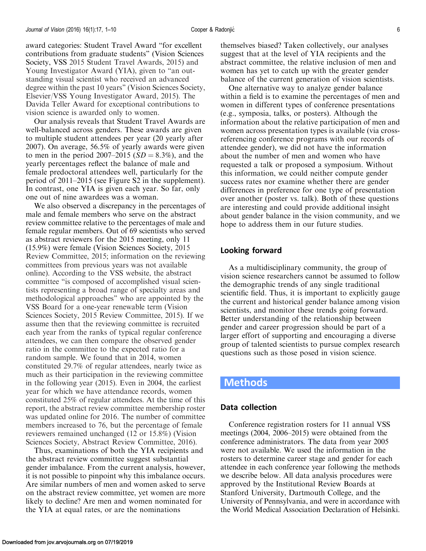<span id="page-6-0"></span>award categories: Student Travel Award ''for excellent contributions from graduate students'' (Vision Sciences Society, VSS [2015](#page-9-0) Student Travel Awards, 2015) and Young Investigator Award (YIA), given to ''an outstanding visual scientist who received an advanced degree within the past 10 years'' (Vision Sciences Society, Elsevier/VSS Young Investigator Award, [2015\)](#page-9-0). The Davida Teller Award for exceptional contributions to vision science is awarded only to women.

Our analysis reveals that Student Travel Awards are well-balanced across genders. These awards are given to multiple student attendees per year (20 yearly after 2007). On average, 56.5% of yearly awards were given to men in the period 2007–2015 ( $SD = 8.3\%$ ), and the yearly percentages reflect the balance of male and female predoctoral attendees well, particularly for the period of 2011–2015 (see Figure S2 in the supplement). In contrast, one YIA is given each year. So far, only one out of nine awardees was a woman.

We also observed a discrepancy in the percentages of male and female members who serve on the abstract review committee relative to the percentages of male and female regular members. Out of 69 scientists who served as abstract reviewers for the 2015 meeting, only 11 (15.9%) were female (Vision Sciences Society, [2015](#page-9-0) Review Committee, 2015; information on the reviewing committees from previous years was not available online). According to the VSS website, the abstract committee ''is composed of accomplished visual scientists representing a broad range of specialty areas and methodological approaches'' who are appointed by the VSS Board for a one-year renewable term (Vision Sciences Society, [2015](#page-9-0) Review Committee, 2015). If we assume then that the reviewing committee is recruited each year from the ranks of typical regular conference attendees, we can then compare the observed gender ratio in the committee to the expected ratio for a random sample. We found that in 2014, women constituted 29.7% of regular attendees, nearly twice as much as their participation in the reviewing committee in the following year (2015). Even in 2004, the earliest year for which we have attendance records, women constituted 25% of regular attendees. At the time of this report, the abstract review committee membership roster was updated online for 2016. The number of committee members increased to 76, but the percentage of female reviewers remained unchanged (12 or 15.8%) (Vision Sciences Society, Abstract Review Committee, [2016](#page-9-0)).

Thus, examinations of both the YIA recipients and the abstract review committee suggest substantial gender imbalance. From the current analysis, however, it is not possible to pinpoint why this imbalance occurs. Are similar numbers of men and women asked to serve on the abstract review committee, yet women are more likely to decline? Are men and women nominated for the YIA at equal rates, or are the nominations

themselves biased? Taken collectively, our analyses suggest that at the level of YIA recipients and the abstract committee, the relative inclusion of men and women has yet to catch up with the greater gender balance of the current generation of vision scientists.

One alternative way to analyze gender balance within a field is to examine the percentages of men and women in different types of conference presentations (e.g., symposia, talks, or posters). Although the information about the relative participation of men and women across presentation types is available (via crossreferencing conference programs with our records of attendee gender), we did not have the information about the number of men and women who have requested a talk or proposed a symposium. Without this information, we could neither compute gender success rates nor examine whether there are gender differences in preference for one type of presentation over another (poster vs. talk). Both of these questions are interesting and could provide additional insight about gender balance in the vision community, and we hope to address them in our future studies.

#### Looking forward

As a multidisciplinary community, the group of vision science researchers cannot be assumed to follow the demographic trends of any single traditional scientific field. Thus, it is important to explicitly gauge the current and historical gender balance among vision scientists, and monitor these trends going forward. Better understanding of the relationship between gender and career progression should be part of a larger effort of supporting and encouraging a diverse group of talented scientists to pursue complex research questions such as those posed in vision science.

## **Methods**

#### Data collection

Conference registration rosters for 11 annual VSS meetings (2004, 2006–2015) were obtained from the conference administrators. The data from year 2005 were not available. We used the information in the rosters to determine career stage and gender for each attendee in each conference year following the methods we describe below. All data analysis procedures were approved by the Institutional Review Boards at Stanford University, Dartmouth College, and the University of Pennsylvania, and were in accordance with the World Medical Association Declaration of Helsinki.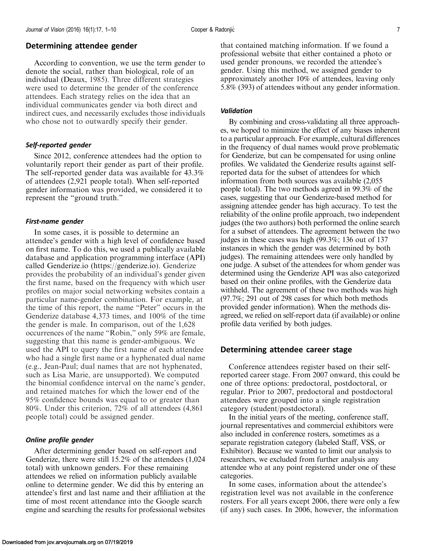According to convention, we use the term gender to denote the social, rather than biological, role of an individual (Deaux, [1985\)](#page-9-0). Three different strategies were used to determine the gender of the conference attendees. Each strategy relies on the idea that an individual communicates gender via both direct and indirect cues, and necessarily excludes those individuals who chose not to outwardly specify their gender.

#### Self-reported gender

Since 2012, conference attendees had the option to voluntarily report their gender as part of their profile. The self-reported gender data was available for 43.3% of attendees (2,921 people total). When self-reported gender information was provided, we considered it to represent the ''ground truth.''

#### First-name gender

In some cases, it is possible to determine an attendee's gender with a high level of confidence based on first name. To do this, we used a publically available database and application programming interface (API) called Genderize.io (https://genderize.io). Genderize provides the probability of an individual's gender given the first name, based on the frequency with which user profiles on major social networking websites contain a particular name-gender combination. For example, at the time of this report, the name ''Peter'' occurs in the Genderize database 4,373 times, and 100% of the time the gender is male. In comparison, out of the 1,628 occurrences of the name ''Robin,'' only 59% are female, suggesting that this name is gender-ambiguous. We used the API to query the first name of each attendee who had a single first name or a hyphenated dual name (e.g., Jean-Paul; dual names that are not hyphenated, such as Lisa Marie, are unsupported). We computed the binomial confidence interval on the name's gender, and retained matches for which the lower end of the 95% confidence bounds was equal to or greater than 80%. Under this criterion, 72% of all attendees (4,861 people total) could be assigned gender.

#### Online profile gender

After determining gender based on self-report and Genderize, there were still 15.2% of the attendees (1,024 total) with unknown genders. For these remaining attendees we relied on information publicly available online to determine gender. We did this by entering an attendee's first and last name and their affiliation at the time of most recent attendance into the Google search engine and searching the results for professional websites that contained matching information. If we found a professional website that either contained a photo or used gender pronouns, we recorded the attendee's gender. Using this method, we assigned gender to approximately another 10% of attendees, leaving only 5.8% (393) of attendees without any gender information.

#### Validation

By combining and cross-validating all three approaches, we hoped to minimize the effect of any biases inherent to a particular approach. For example, cultural differences in the frequency of dual names would prove problematic for Genderize, but can be compensated for using online profiles. We validated the Genderize results against selfreported data for the subset of attendees for which information from both sources was available (2,055 people total). The two methods agreed in 99.3% of the cases, suggesting that our Genderize-based method for assigning attendee gender has high accuracy. To test the reliability of the online profile approach, two independent judges (the two authors) both performed the online search for a subset of attendees. The agreement between the two judges in these cases was high (99.3%; 136 out of 137 instances in which the gender was determined by both judges). The remaining attendees were only handled by one judge. A subset of the attendees for whom gender was determined using the Genderize API was also categorized based on their online profiles, with the Genderize data withheld. The agreement of these two methods was high (97.7%; 291 out of 298 cases for which both methods provided gender information). When the methods disagreed, we relied on self-report data (if available) or online profile data verified by both judges.

#### Determining attendee career stage

Conference attendees register based on their selfreported career stage. From 2007 onward, this could be one of three options: predoctoral, postdoctoral, or regular. Prior to 2007, predoctoral and postdoctoral attendees were grouped into a single registration category (student/postdoctoral).

In the initial years of the meeting, conference staff, journal representatives and commercial exhibitors were also included in conference rosters, sometimes as a separate registration category (labeled Staff, VSS, or Exhibitor). Because we wanted to limit our analysis to researchers, we excluded from further analysis any attendee who at any point registered under one of these categories.

In some cases, information about the attendee's registration level was not available in the conference rosters. For all years except 2006, there were only a few (if any) such cases. In 2006, however, the information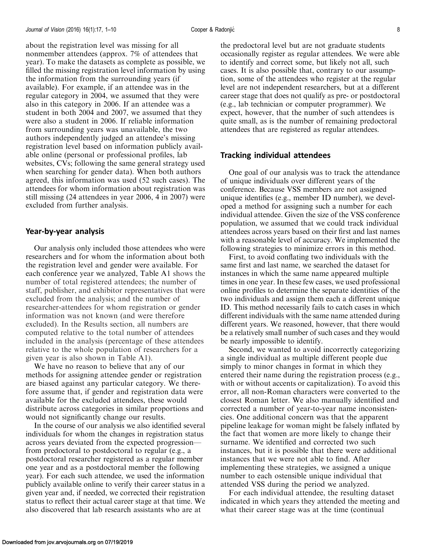about the registration level was missing for all nonmember attendees (approx. 7% of attendees that year). To make the datasets as complete as possible, we filled the missing registration level information by using the information from the surrounding years (if available). For example, if an attendee was in the regular category in 2004, we assumed that they were also in this category in 2006. If an attendee was a student in both 2004 and 2007, we assumed that they were also a student in 2006. If reliable information from surrounding years was unavailable, the two authors independently judged an attendee's missing registration level based on information publicly available online (personal or professional profiles, lab websites, CVs; following the same general strategy used when searching for gender data). When both authors agreed, this information was used (52 such cases). The attendees for whom information about registration was still missing (24 attendees in year 2006, 4 in 2007) were excluded from further analysis.

#### Year-by-year analysis

Our analysis only included those attendees who were researchers and for whom the information about both the registration level and gender were available. For each conference year we analyzed, [Table A1](#page-10-0) shows the number of total registered attendees; the number of staff, publisher, and exhibitor representatives that were excluded from the analysis; and the number of researcher-attendees for whom registration or gender information was not known (and were therefore excluded). In the [Results](#page-2-0) section, all numbers are computed relative to the total number of attendees included in the analysis (percentage of these attendees relative to the whole population of researchers for a given year is also shown in [Table A1\)](#page-10-0).

We have no reason to believe that any of our methods for assigning attendee gender or registration are biased against any particular category. We therefore assume that, if gender and registration data were available for the excluded attendees, these would distribute across categories in similar proportions and would not significantly change our results.

In the course of our analysis we also identified several individuals for whom the changes in registration status across years deviated from the expected progression from predoctoral to postdoctoral to regular (e.g., a postdoctoral researcher registered as a regular member one year and as a postdoctoral member the following year). For each such attendee, we used the information publicly available online to verify their career status in a given year and, if needed, we corrected their registration status to reflect their actual career stage at that time. We also discovered that lab research assistants who are at

the predoctoral level but are not graduate students occasionally register as regular attendees. We were able to identify and correct some, but likely not all, such cases. It is also possible that, contrary to our assumption, some of the attendees who register at the regular level are not independent researchers, but at a different career stage that does not qualify as pre- or postdoctoral (e.g., lab technician or computer programmer). We expect, however, that the number of such attendees is quite small, as is the number of remaining predoctoral attendees that are registered as regular attendees.

#### Tracking individual attendees

One goal of our analysis was to track the attendance of unique individuals over different years of the conference. Because VSS members are not assigned unique identifies (e.g., member ID number), we developed a method for assigning such a number for each individual attendee. Given the size of the VSS conference population, we assumed that we could track individual attendees across years based on their first and last names with a reasonable level of accuracy. We implemented the following strategies to minimize errors in this method.

First, to avoid conflating two individuals with the same first and last name, we searched the dataset for instances in which the same name appeared multiple times in one year. In these few cases, we used professional online profiles to determine the separate identities of the two individuals and assign them each a different unique ID. This method necessarily fails to catch cases in which different individuals with the same name attended during different years. We reasoned, however, that there would be a relatively small number of such cases and they would be nearly impossible to identify.

Second, we wanted to avoid incorrectly categorizing a single individual as multiple different people due simply to minor changes in format in which they entered their name during the registration process (e.g., with or without accents or capitalization). To avoid this error, all non-Roman characters were converted to the closest Roman letter. We also manually identified and corrected a number of year-to-year name inconsistencies. One additional concern was that the apparent pipeline leakage for woman might be falsely inflated by the fact that women are more likely to change their surname. We identified and corrected two such instances, but it is possible that there were additional instances that we were not able to find. After implementing these strategies, we assigned a unique number to each ostensible unique individual that attended VSS during the period we analyzed.

For each individual attendee, the resulting dataset indicated in which years they attended the meeting and what their career stage was at the time (continual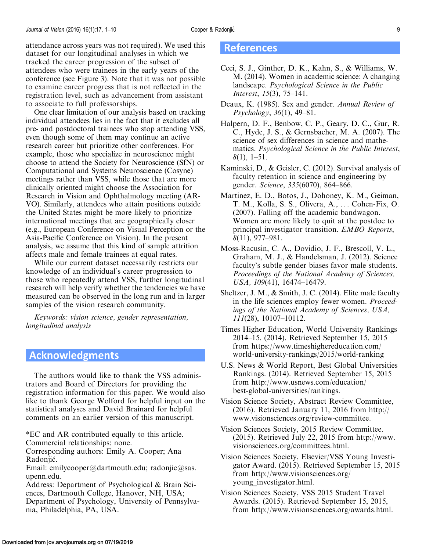<span id="page-9-0"></span>attendance across years was not required). We used this dataset for our longitudinal analyses in which we tracked the career progression of the subset of attendees who were trainees in the early years of the conference (see [Figure 3](#page-5-0)). Note that it was not possible to examine career progress that is not reflected in the registration level, such as advancement from assistant to associate to full professorships.

One clear limitation of our analysis based on tracking individual attendees lies in the fact that it excludes all pre- and postdoctoral trainees who stop attending VSS, even though some of them may continue an active research career but prioritize other conferences. For example, those who specialize in neuroscience might choose to attend the Society for Neuroscience (SfN) or Computational and Systems Neuroscience (Cosyne) meetings rather than VSS, while those that are more clinically oriented might choose the Association for Research in Vision and Ophthalmology meeting (AR-VO). Similarly, attendees who attain positions outside the United States might be more likely to prioritize international meetings that are geographically closer (e.g., European Conference on Visual Perception or the Asia-Pacific Conference on Vision). In the present analysis, we assume that this kind of sample attrition affects male and female trainees at equal rates.

While our current dataset necessarily restricts our knowledge of an individual's career progression to those who repeatedly attend VSS, further longitudinal research will help verify whether the tendencies we have measured can be observed in the long run and in larger samples of the vision research community.

Keywords: vision science, gender representation, longitudinal analysis

## Acknowledgments

The authors would like to thank the VSS administrators and Board of Directors for providing the registration information for this paper. We would also like to thank George Wolford for helpful input on the statistical analyses and David Brainard for helpful comments on an earlier version of this manuscript.

\*EC and AR contributed equally to this article. Commercial relationships: none.

Corresponding authors: Emily A. Cooper; Ana Radonjić.

Email: emilycooper@dartmouth.edu; radonjic@sas. upenn.edu.

Address: Department of Psychological & Brain Sciences, Dartmouth College, Hanover, NH, USA; Department of Psychology, University of Pennsylvania, Philadelphia, PA, USA.

### References

- Ceci, S. J., Ginther, D. K., Kahn, S., & Williams, W. M. (2014). Women in academic science: A changing landscape. Psychological Science in the Public Interest, 15(3), 75–141.
- Deaux, K. (1985). Sex and gender. Annual Review of Psychology, 36(1), 49–81.
- Halpern, D. F., Benbow, C. P., Geary, D. C., Gur, R. C., Hyde, J. S., & Gernsbacher, M. A. (2007). The science of sex differences in science and mathematics. Psychological Science in the Public Interest,  $8(1), 1-51.$
- Kaminski, D., & Geisler, C. (2012). Survival analysis of faculty retention in science and engineering by gender. Science, 335(6070), 864–866.
- Martinez, E. D., Botos, J., Dohoney, K. M., Geiman, T. M., Kolla, S. S., Olivera, A., . . . Cohen-Fix, O. (2007). Falling off the academic bandwagon. Women are more likely to quit at the postdoc to principal investigator transition. EMBO Reports, 8(11), 977–981.
- Moss-Racusin, C. A., Dovidio, J. F., Brescoll, V. L., Graham, M. J., & Handelsman, J. (2012). Science faculty's subtle gender biases favor male students. Proceedings of the National Academy of Sciences, USA, 109(41), 16474–16479.
- Sheltzer, J. M., & Smith, J. C. (2014). Elite male faculty in the life sciences employ fewer women. Proceedings of the National Academy of Sciences, USA, 111(28), 10107–10112.
- Times Higher Education, World University Rankings 2014–15. (2014). Retrieved September 15, 2015 from https://www.timeshighereducation.com/ world-university-rankings/2015/world-ranking
- U.S. News & World Report, Best Global Universities Rankings. (2014). Retrieved September 15, 2015 from http://www.usnews.com/education/ best-global-universities/rankings.
- Vision Science Society, Abstract Review Committee, (2016). Retrieved January 11, 2016 from http:// www.visionsciences.org/review-committee.
- Vision Sciences Society, 2015 Review Committee. (2015). Retrieved July 22, 2015 from http://www. visionsciences.org/committees.html.
- Vision Sciences Society, Elsevier/VSS Young Investigator Award. (2015). Retrieved September 15, 2015 from http://www.visionsciences.org/ young\_investigator.html.
- Vision Sciences Society, VSS 2015 Student Travel Awards. (2015). Retrieved September 15, 2015, from http://www.visionsciences.org/awards.html.